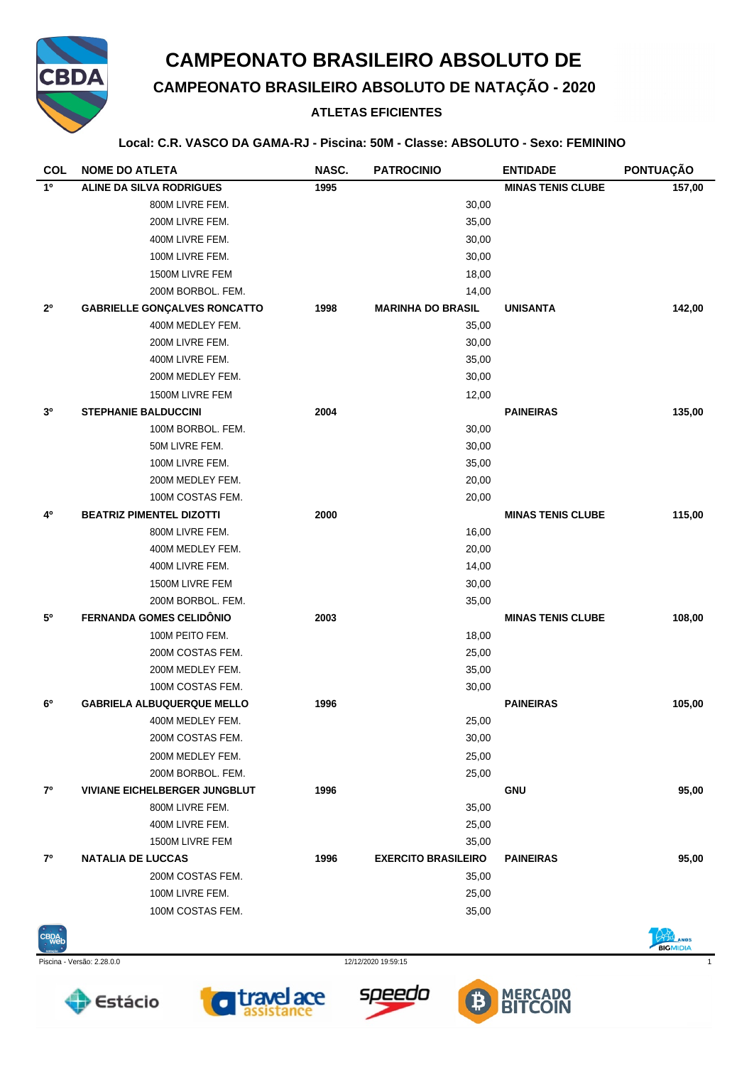

## **CAMPEONATO BRASILEIRO ABSOLUTO DE**

# **CAMPEONATO BRASILEIRO ABSOLUTO DE NATAÇÃO - 2020**

### **ATLETAS EFICIENTES**

#### **Local: C.R. VASCO DA GAMA-RJ - Piscina: 50M - Classe: ABSOLUTO - Sexo: FEMININO**

| <b>COL</b>  | <b>NOME DO ATLETA</b>                | NASC. | <b>PATROCINIO</b>          | <b>ENTIDADE</b>          | PONTUAÇÃO |
|-------------|--------------------------------------|-------|----------------------------|--------------------------|-----------|
| $1^{\circ}$ | <b>ALINE DA SILVA RODRIGUES</b>      | 1995  |                            | <b>MINAS TENIS CLUBE</b> | 157,00    |
|             | 800M LIVRE FEM.                      |       | 30,00                      |                          |           |
|             | 200M LIVRE FEM.                      |       | 35,00                      |                          |           |
|             | 400M LIVRE FEM.                      |       | 30,00                      |                          |           |
|             | 100M LIVRE FEM.                      |       | 30,00                      |                          |           |
|             | 1500M LIVRE FEM                      |       | 18,00                      |                          |           |
|             | 200M BORBOL. FEM.                    |       | 14,00                      |                          |           |
| $2^{\circ}$ | <b>GABRIELLE GONÇALVES RONCATTO</b>  | 1998  | <b>MARINHA DO BRASIL</b>   | <b>UNISANTA</b>          | 142,00    |
|             | 400M MEDLEY FEM.                     |       | 35,00                      |                          |           |
|             | 200M LIVRE FEM.                      |       | 30,00                      |                          |           |
|             | 400M LIVRE FEM.                      |       | 35,00                      |                          |           |
|             | 200M MEDLEY FEM.                     |       | 30,00                      |                          |           |
|             | 1500M LIVRE FEM                      |       | 12,00                      |                          |           |
| 30          | <b>STEPHANIE BALDUCCINI</b>          | 2004  |                            | <b>PAINEIRAS</b>         | 135,00    |
|             | 100M BORBOL. FEM.                    |       | 30,00                      |                          |           |
|             | 50M LIVRE FEM.                       |       | 30,00                      |                          |           |
|             | 100M LIVRE FEM.                      |       | 35,00                      |                          |           |
|             | 200M MEDLEY FEM.                     |       | 20,00                      |                          |           |
|             | 100M COSTAS FEM.                     |       | 20,00                      |                          |           |
| 4º          | <b>BEATRIZ PIMENTEL DIZOTTI</b>      | 2000  |                            | <b>MINAS TENIS CLUBE</b> | 115,00    |
|             | 800M LIVRE FEM.                      |       | 16,00                      |                          |           |
|             | 400M MEDLEY FEM.                     |       | 20,00                      |                          |           |
|             | 400M LIVRE FEM.                      |       | 14,00                      |                          |           |
|             | 1500M LIVRE FEM                      |       | 30,00                      |                          |           |
|             | 200M BORBOL. FEM.                    |       | 35,00                      |                          |           |
| 50          | <b>FERNANDA GOMES CELIDÔNIO</b>      | 2003  |                            | <b>MINAS TENIS CLUBE</b> | 108,00    |
|             | 100M PEITO FEM.                      |       | 18,00                      |                          |           |
|             | 200M COSTAS FEM.                     |       | 25,00                      |                          |           |
|             | 200M MEDLEY FEM.                     |       | 35,00                      |                          |           |
|             | 100M COSTAS FEM.                     |       | 30,00                      |                          |           |
| 6°          | <b>GABRIELA ALBUQUERQUE MELLO</b>    | 1996  |                            | <b>PAINEIRAS</b>         | 105,00    |
|             | 400M MEDLEY FEM.                     |       | 25,00                      |                          |           |
|             | 200M COSTAS FEM.                     |       | 30,00                      |                          |           |
|             | 200M MEDLEY FEM.                     |       | 25,00                      |                          |           |
|             | 200M BORBOL. FEM.                    |       | 25,00                      |                          |           |
| $7^{\circ}$ | <b>VIVIANE EICHELBERGER JUNGBLUT</b> | 1996  |                            | <b>GNU</b>               | 95,00     |
|             | 800M LIVRE FEM.                      |       | 35,00                      |                          |           |
|             | 400M LIVRE FEM.                      |       | 25,00                      |                          |           |
|             | 1500M LIVRE FEM                      |       | 35,00                      |                          |           |
| $7^{\circ}$ | <b>NATALIA DE LUCCAS</b>             | 1996  | <b>EXERCITO BRASILEIRO</b> | <b>PAINEIRAS</b>         | 95,00     |
|             | 200M COSTAS FEM.                     |       | 35,00                      |                          |           |
|             | 100M LIVRE FEM.                      |       | 25,00                      |                          |           |
|             | 100M COSTAS FEM.                     |       | 35,00                      |                          |           |



Piscina - Versão: 2.28.0.0 12/12/2020 19:59:15 1









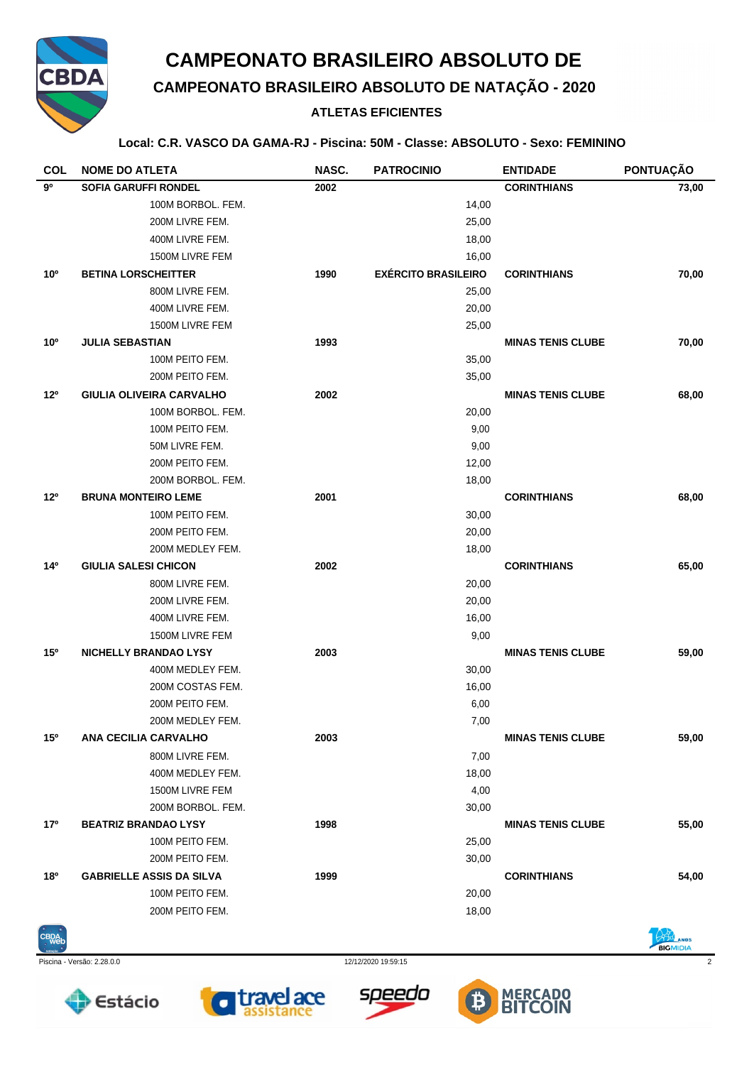

## **CAMPEONATO BRASILEIRO ABSOLUTO DE**

# **CAMPEONATO BRASILEIRO ABSOLUTO DE NATAÇÃO - 2020**

### **ATLETAS EFICIENTES**

#### **Local: C.R. VASCO DA GAMA-RJ - Piscina: 50M - Classe: ABSOLUTO - Sexo: FEMININO**

| <b>COL</b>      | <b>NOME DO ATLETA</b>                           | NASC. | <b>PATROCINIO</b>          | <b>ENTIDADE</b>          | PONTUAÇÃO |
|-----------------|-------------------------------------------------|-------|----------------------------|--------------------------|-----------|
| 90              | <b>SOFIA GARUFFI RONDEL</b>                     | 2002  |                            | <b>CORINTHIANS</b>       | 73,00     |
|                 | 100M BORBOL, FEM.                               |       | 14,00                      |                          |           |
|                 | 200M LIVRE FEM.                                 |       | 25,00                      |                          |           |
|                 | 400M LIVRE FEM.                                 |       | 18,00                      |                          |           |
|                 | 1500M LIVRE FEM                                 |       | 16,00                      |                          |           |
| 10 <sup>o</sup> | <b>BETINA LORSCHEITTER</b>                      | 1990  | <b>EXÉRCITO BRASILEIRO</b> | <b>CORINTHIANS</b>       | 70,00     |
|                 | 800M LIVRE FEM.                                 |       | 25,00                      |                          |           |
|                 | 400M LIVRE FEM.                                 |       | 20,00                      |                          |           |
|                 | 1500M LIVRE FEM                                 |       | 25,00                      |                          |           |
| 10 <sup>o</sup> | <b>JULIA SEBASTIAN</b>                          | 1993  |                            | <b>MINAS TENIS CLUBE</b> | 70,00     |
|                 | 100M PEITO FEM.                                 |       | 35,00                      |                          |           |
|                 | 200M PEITO FEM.                                 |       | 35,00                      |                          |           |
| 12°             | <b>GIULIA OLIVEIRA CARVALHO</b>                 | 2002  |                            | <b>MINAS TENIS CLUBE</b> | 68,00     |
|                 | 100M BORBOL. FEM.                               |       | 20,00                      |                          |           |
|                 | 100M PEITO FEM.                                 |       | 9,00                       |                          |           |
|                 | 50M LIVRE FEM.                                  |       | 9,00                       |                          |           |
|                 | 200M PEITO FEM.                                 |       | 12,00                      |                          |           |
|                 | 200M BORBOL, FEM.                               |       | 18,00                      |                          |           |
| $12^{\circ}$    | <b>BRUNA MONTEIRO LEME</b>                      | 2001  |                            | <b>CORINTHIANS</b>       | 68,00     |
|                 | 100M PEITO FEM.                                 |       | 30,00                      |                          |           |
|                 | 200M PEITO FEM.                                 |       | 20,00                      |                          |           |
|                 | 200M MEDLEY FEM.                                |       | 18,00                      |                          |           |
| 14 <sup>0</sup> | <b>GIULIA SALESI CHICON</b>                     | 2002  |                            | <b>CORINTHIANS</b>       | 65,00     |
|                 | 800M LIVRE FEM.                                 |       | 20,00                      |                          |           |
|                 | 200M LIVRE FEM.                                 |       | 20,00                      |                          |           |
|                 | 400M LIVRE FEM.                                 |       | 16,00                      |                          |           |
|                 | 1500M LIVRE FEM                                 |       | 9,00                       |                          |           |
| 15 <sup>o</sup> | <b>NICHELLY BRANDAO LYSY</b>                    | 2003  |                            | <b>MINAS TENIS CLUBE</b> | 59,00     |
|                 | 400M MEDLEY FEM.                                |       | 30,00                      |                          |           |
|                 | 200M COSTAS FEM.                                |       | 16,00                      |                          |           |
|                 | 200M PEITO FEM.                                 |       | 6,00                       |                          |           |
| 15 <sup>o</sup> | 200M MEDLEY FEM.<br><b>ANA CECILIA CARVALHO</b> | 2003  | 7,00                       | <b>MINAS TENIS CLUBE</b> |           |
|                 | 800M LIVRE FEM.                                 |       |                            |                          | 59,00     |
|                 |                                                 |       | 7,00                       |                          |           |
|                 | 400M MEDLEY FEM.<br>1500M LIVRE FEM             |       | 18,00                      |                          |           |
|                 | 200M BORBOL. FEM.                               |       | 4,00<br>30,00              |                          |           |
| 17 <sup>o</sup> | <b>BEATRIZ BRANDAO LYSY</b>                     | 1998  |                            | <b>MINAS TENIS CLUBE</b> | 55,00     |
|                 | 100M PEITO FEM.                                 |       | 25,00                      |                          |           |
|                 | 200M PEITO FEM.                                 |       | 30,00                      |                          |           |
| 18 <sup>o</sup> | <b>GABRIELLE ASSIS DA SILVA</b>                 | 1999  |                            | <b>CORINTHIANS</b>       | 54,00     |
|                 | 100M PEITO FEM.                                 |       | 20,00                      |                          |           |
|                 | 200M PEITO FEM.                                 |       | 18,00                      |                          |           |
|                 |                                                 |       |                            |                          |           |



**Estácio** 

Piscina - Versão: 2.28.0.0 12/12/2020 19:59:15 2

**travelace**